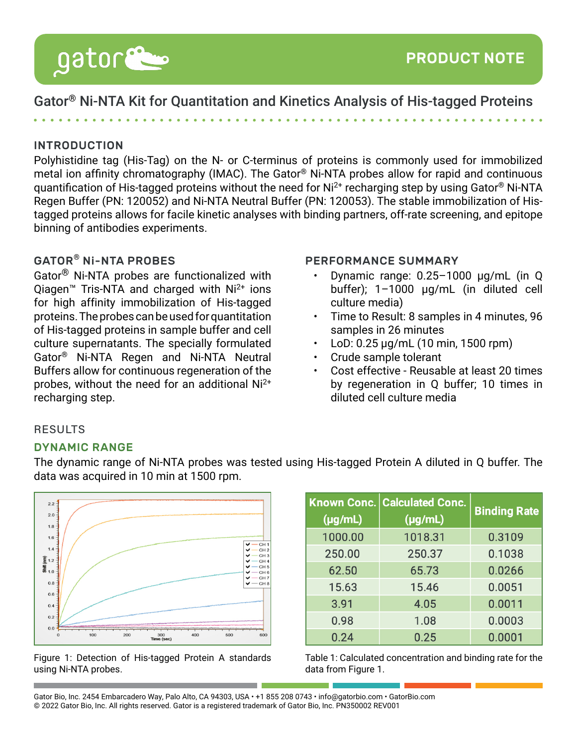

# Gator® Ni-NTA Kit for Quantitation and Kinetics Analysis of His-tagged Proteins

## INTRODUCTION

Polyhistidine tag (His-Tag) on the N- or C-terminus of proteins is commonly used for immobilized metal ion affinity chromatography (IMAC). The Gator® Ni-NTA probes allow for rapid and continuous guantification of His-tagged proteins without the need for Ni<sup>2+</sup> recharging step by using Gator<sup>®</sup> Ni-NTA Regen Buffer (PN: 120052) and Ni-NTA Neutral Buffer (PN: 120053). The stable immobilization of Histagged proteins allows for facile kinetic analyses with binding partners, off-rate screening, and epitope binning of antibodies experiments.

## GATOR® Ni-NTA PROBES

Gator® Ni-NTA probes are functionalized with Qiagen<sup>™</sup> Tris-NTA and charged with  $Ni<sup>2+</sup>$  ions for high affinity immobilization of His-tagged proteins. The probes can be used for quantitation of His-tagged proteins in sample buffer and cell culture supernatants. The specially formulated Gator® Ni-NTA Regen and Ni-NTA Neutral Buffers allow for continuous regeneration of the probes, without the need for an additional Ni2+ recharging step.

#### PERFORMANCE SUMMARY

- Dynamic range: 0.25–1000 μg/mL (in Q buffer); 1–1000 μg/mL (in diluted cell culture media)
- Time to Result: 8 samples in 4 minutes, 96 samples in 26 minutes
- LoD: 0.25 μg/mL (10 min, 1500 rpm)
- Crude sample tolerant
- Cost effective Reusable at least 20 times by regeneration in Q buffer; 10 times in diluted cell culture media

### RESULTS

#### DYNAMIC RANGE

The dynamic range of Ni-NTA probes was tested using His-tagged Protein A diluted in Q buffer. The data was acquired in 10 min at 1500 rpm.





| $(\mu g/mL)$ | <b>Known Conc. Calculated Conc.</b><br>$(\mu g/mL)$ | <b>Binding Rate</b> |
|--------------|-----------------------------------------------------|---------------------|
| 1000.00      | 1018.31                                             | 0.3109              |
| 250.00       | 250.37                                              | 0.1038              |
| 62.50        | 65.73                                               | 0.0266              |
| 15.63        | 15.46                                               | 0.0051              |
| 3.91         | 4.05                                                | 0.0011              |
| 0.98         | 1.08                                                | 0.0003              |
| 0.24         | 0.25                                                | 0.0001              |

Table 1: Calculated concentration and binding rate for the data from Figure 1.

Gator Bio, Inc. 2454 Embarcadero Way, Palo Alto, CA 94303, USA • +1 855 208 0743 • info@gatorbio.com • GatorBio.com © 2022 Gator Bio, Inc. All rights reserved. Gator is a registered trademark of Gator Bio, Inc. PN350002 REV001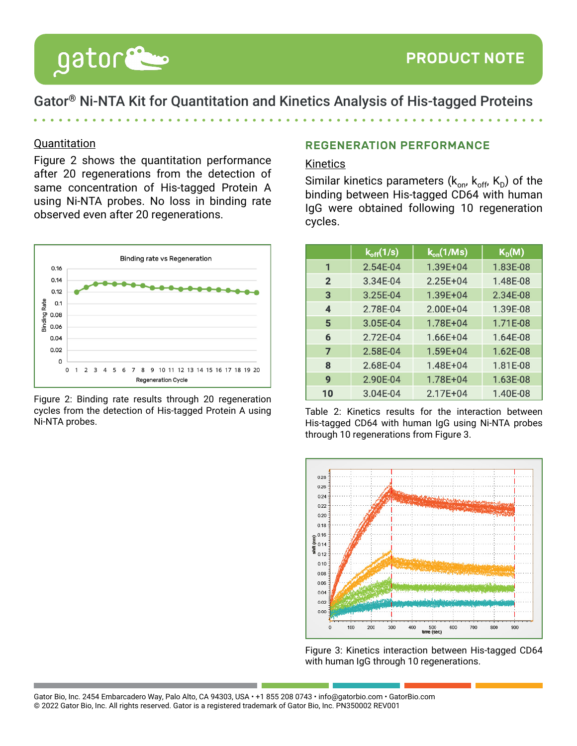

gator

# Gator® Ni-NTA Kit for Quantitation and Kinetics Analysis of His-tagged Proteins

### **Quantitation**

Figure 2 shows the quantitation performance after 20 regenerations from the detection of same concentration of His-tagged Protein A using Ni-NTA probes. No loss in binding rate observed even after 20 regenerations.



Figure 2: Binding rate results through 20 regeneration cycles from the detection of His-tagged Protein A using Ni-NTA probes.

## REGENERATION PERFORMANCE

### Kinetics

Similar kinetics parameters  $(k_{on}, k_{off}, K_D)$  of the binding between His-tagged CD64 with human IgG were obtained following 10 regeneration cycles.

|                | $k_{off}(1/s)$ | $k_{on}$ (1/Ms) | $K_D(M)$ |
|----------------|----------------|-----------------|----------|
| 1              | 2.54E-04       | 1.39E+04        | 1.83E-08 |
| $\overline{2}$ | 3.34E-04       | $2.25E + 04$    | 1.48E-08 |
| 3              | 3.25E-04       | 1.39E+04        | 2.34E-08 |
| 4              | 2.78E-04       | 2.00E+04        | 1.39E-08 |
| 5              | 3.05E-04       | 1.78E+04        | 1.71E-08 |
| 6              | 2.72E-04       | $1.66E + 04$    | 1.64E-08 |
| 7              | 2.58E-04       | 1.59E+04        | 1.62E-08 |
| 8              | 2.68E-04       | 1.48E+04        | 1.81E-08 |
| 9              | 2.90E-04       | 1.78E+04        | 1.63E-08 |
| 10             | 3.04E-04       | 2.17E+04        | 1.40E-08 |

Table 2: Kinetics results for the interaction between His-tagged CD64 with human IgG using Ni-NTA probes through 10 regenerations from Figure 3.



Figure 3: Kinetics interaction between His-tagged CD64 with human IgG through 10 regenerations.